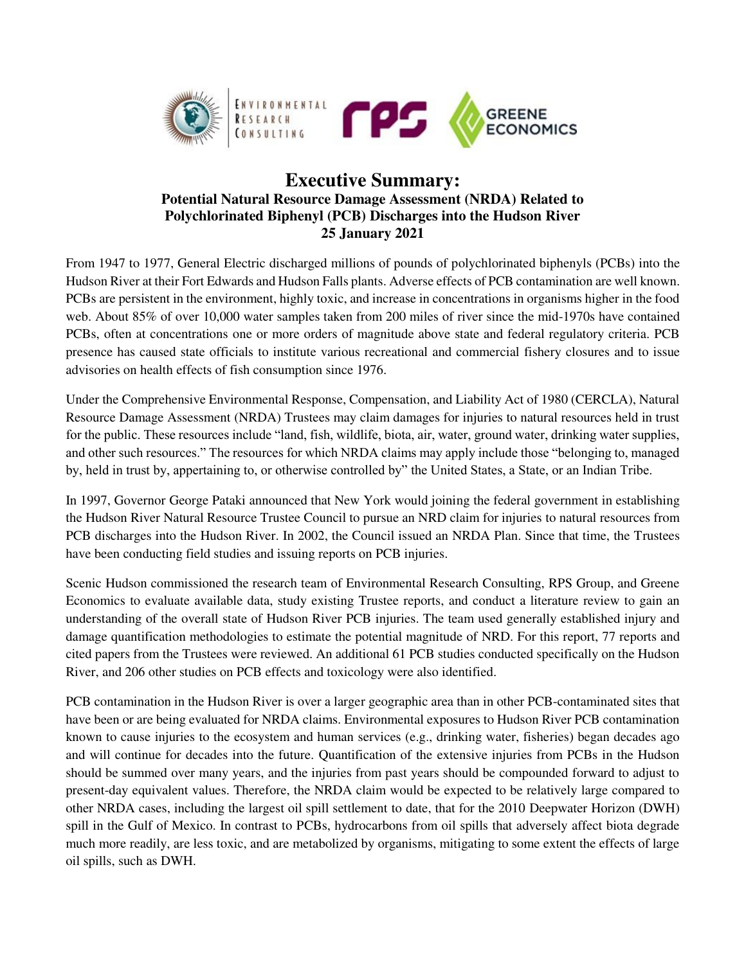

## **Executive Summary: Potential Natural Resource Damage Assessment (NRDA) Related to Polychlorinated Biphenyl (PCB) Discharges into the Hudson River 25 January 2021**

From 1947 to 1977, General Electric discharged millions of pounds of polychlorinated biphenyls (PCBs) into the Hudson River at their Fort Edwards and Hudson Falls plants. Adverse effects of PCB contamination are well known. PCBs are persistent in the environment, highly toxic, and increase in concentrations in organisms higher in the food web. About 85% of over 10,000 water samples taken from 200 miles of river since the mid-1970s have contained PCBs, often at concentrations one or more orders of magnitude above state and federal regulatory criteria. PCB presence has caused state officials to institute various recreational and commercial fishery closures and to issue advisories on health effects of fish consumption since 1976.

Under the Comprehensive Environmental Response, Compensation, and Liability Act of 1980 (CERCLA), Natural Resource Damage Assessment (NRDA) Trustees may claim damages for injuries to natural resources held in trust for the public. These resources include "land, fish, wildlife, biota, air, water, ground water, drinking water supplies, and other such resources." The resources for which NRDA claims may apply include those "belonging to, managed by, held in trust by, appertaining to, or otherwise controlled by" the United States, a State, or an Indian Tribe.

In 1997, Governor George Pataki announced that New York would joining the federal government in establishing the Hudson River Natural Resource Trustee Council to pursue an NRD claim for injuries to natural resources from PCB discharges into the Hudson River. In 2002, the Council issued an NRDA Plan. Since that time, the Trustees have been conducting field studies and issuing reports on PCB injuries.

Scenic Hudson commissioned the research team of Environmental Research Consulting, RPS Group, and Greene Economics to evaluate available data, study existing Trustee reports, and conduct a literature review to gain an understanding of the overall state of Hudson River PCB injuries. The team used generally established injury and damage quantification methodologies to estimate the potential magnitude of NRD. For this report, 77 reports and cited papers from the Trustees were reviewed. An additional 61 PCB studies conducted specifically on the Hudson River, and 206 other studies on PCB effects and toxicology were also identified.

PCB contamination in the Hudson River is over a larger geographic area than in other PCB-contaminated sites that have been or are being evaluated for NRDA claims. Environmental exposures to Hudson River PCB contamination known to cause injuries to the ecosystem and human services (e.g., drinking water, fisheries) began decades ago and will continue for decades into the future. Quantification of the extensive injuries from PCBs in the Hudson should be summed over many years, and the injuries from past years should be compounded forward to adjust to present-day equivalent values. Therefore, the NRDA claim would be expected to be relatively large compared to other NRDA cases, including the largest oil spill settlement to date, that for the 2010 Deepwater Horizon (DWH) spill in the Gulf of Mexico. In contrast to PCBs, hydrocarbons from oil spills that adversely affect biota degrade much more readily, are less toxic, and are metabolized by organisms, mitigating to some extent the effects of large oil spills, such as DWH.